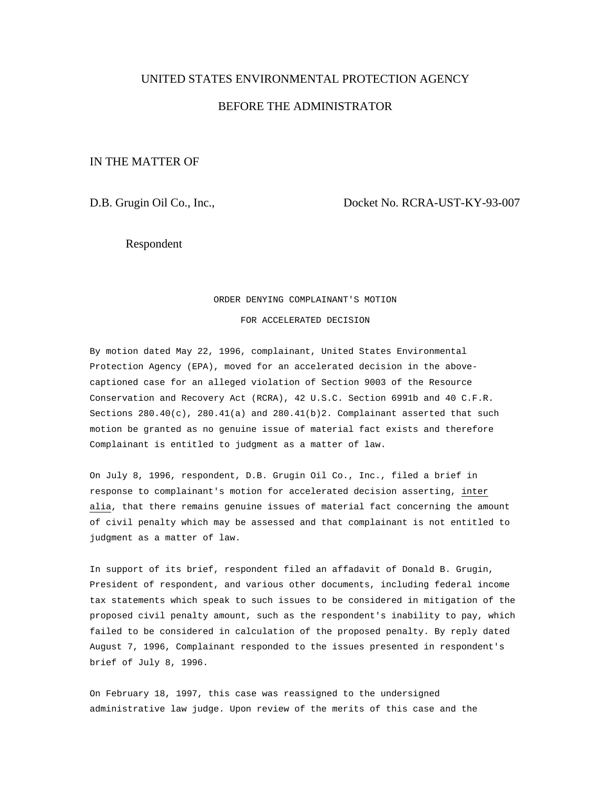# UNITED STATES ENVIRONMENTAL PROTECTION AGENCY

# BEFORE THE ADMINISTRATOR

## IN THE MATTER OF

D.B. Grugin Oil Co., Inc., Docket No. RCRA-UST-KY-93-007

Respondent

#### ORDER DENYING COMPLAINANT'S MOTION

FOR ACCELERATED DECISION

By motion dated May 22, 1996, complainant, United States Environmental Protection Agency (EPA), moved for an accelerated decision in the abovecaptioned case for an alleged violation of Section 9003 of the Resource Conservation and Recovery Act (RCRA), 42 U.S.C. Section 6991b and 40 C.F.R. Sections  $280.40(c)$ ,  $280.41(a)$  and  $280.41(b)2$ . Complainant asserted that such motion be granted as no genuine issue of material fact exists and therefore Complainant is entitled to judgment as a matter of law.

On July 8, 1996, respondent, D.B. Grugin Oil Co., Inc., filed a brief in response to complainant's motion for accelerated decision asserting, inter alia, that there remains genuine issues of material fact concerning the amount of civil penalty which may be assessed and that complainant is not entitled to judgment as a matter of law.

In support of its brief, respondent filed an affadavit of Donald B. Grugin, President of respondent, and various other documents, including federal income tax statements which speak to such issues to be considered in mitigation of the proposed civil penalty amount, such as the respondent's inability to pay, which failed to be considered in calculation of the proposed penalty. By reply dated August 7, 1996, Complainant responded to the issues presented in respondent's brief of July 8, 1996.

On February 18, 1997, this case was reassigned to the undersigned administrative law judge. Upon review of the merits of this case and the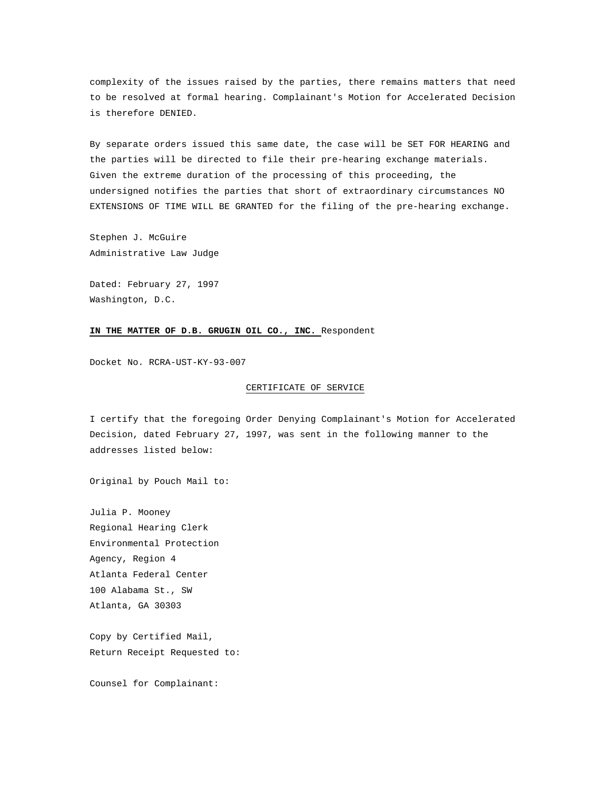complexity of the issues raised by the parties, there remains matters that need to be resolved at formal hearing. Complainant's Motion for Accelerated Decision is therefore DENIED.

By separate orders issued this same date, the case will be SET FOR HEARING and the parties will be directed to file their pre-hearing exchange materials. Given the extreme duration of the processing of this proceeding, the undersigned notifies the parties that short of extraordinary circumstances NO EXTENSIONS OF TIME WILL BE GRANTED for the filing of the pre-hearing exchange.

Stephen J. McGuire Administrative Law Judge

Dated: February 27, 1997 Washington, D.C.

### **IN THE MATTER OF D.B. GRUGIN OIL CO., INC.** Respondent

Docket No. RCRA-UST-KY-93-007

### CERTIFICATE OF SERVICE

I certify that the foregoing Order Denying Complainant's Motion for Accelerated Decision, dated February 27, 1997, was sent in the following manner to the addresses listed below:

Original by Pouch Mail to:

Julia P. Mooney Regional Hearing Clerk Environmental Protection Agency, Region 4 Atlanta Federal Center 100 Alabama St., SW Atlanta, GA 30303

Copy by Certified Mail, Return Receipt Requested to:

Counsel for Complainant: